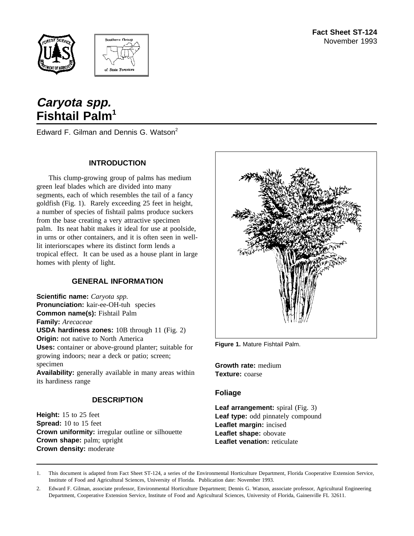



# **Caryota spp. Fishtail Palm1**

Edward F. Gilman and Dennis G. Watson<sup>2</sup>

## **INTRODUCTION**

This clump-growing group of palms has medium green leaf blades which are divided into many segments, each of which resembles the tail of a fancy goldfish (Fig. 1). Rarely exceeding 25 feet in height, a number of species of fishtail palms produce suckers from the base creating a very attractive specimen palm. Its neat habit makes it ideal for use at poolside, in urns or other containers, and it is often seen in welllit interiorscapes where its distinct form lends a tropical effect. It can be used as a house plant in large homes with plenty of light.

# **GENERAL INFORMATION**

**Scientific name:** *Caryota spp.* **Pronunciation:** kair-ee-OH-tuh species **Common name(s):** Fishtail Palm **Family:** *Arecaceae* **USDA hardiness zones:** 10B through 11 (Fig. 2) **Origin:** not native to North America **Uses:** container or above-ground planter; suitable for growing indoors; near a deck or patio; screen; specimen

**Availability:** generally available in many areas within its hardiness range

# **DESCRIPTION**

**Height:** 15 to 25 feet **Spread:** 10 to 15 feet **Crown uniformity:** irregular outline or silhouette **Crown shape:** palm; upright **Crown density:** moderate



**Figure 1.** Mature Fishtail Palm.

**Growth rate:** medium **Texture:** coarse

#### **Foliage**

**Leaf arrangement:** spiral (Fig. 3) **Leaf type:** odd pinnately compound **Leaflet margin:** incised **Leaflet shape:** obovate **Leaflet venation:** reticulate

1. This document is adapted from Fact Sheet ST-124, a series of the Environmental Horticulture Department, Florida Cooperative Extension Service, Institute of Food and Agricultural Sciences, University of Florida. Publication date: November 1993.

2. Edward F. Gilman, associate professor, Environmental Horticulture Department; Dennis G. Watson, associate professor, Agricultural Engineering Department, Cooperative Extension Service, Institute of Food and Agricultural Sciences, University of Florida, Gainesville FL 32611.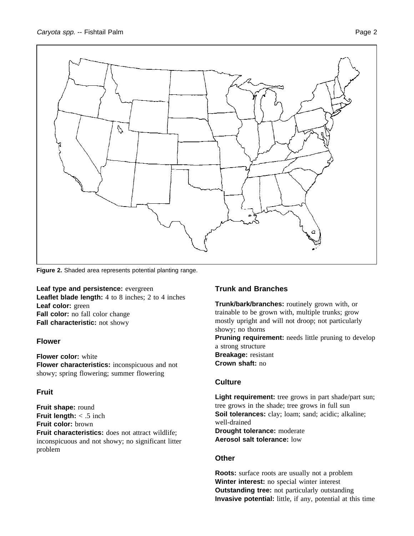

**Figure 2.** Shaded area represents potential planting range.

**Leaf type and persistence:** evergreen **Leaflet blade length:** 4 to 8 inches; 2 to 4 inches **Leaf color:** green **Fall color:** no fall color change **Fall characteristic:** not showy

#### **Flower**

**Flower color:** white **Flower characteristics:** inconspicuous and not showy; spring flowering; summer flowering

#### **Fruit**

**Fruit shape:** round **Fruit length:** < .5 inch **Fruit color:** brown **Fruit characteristics:** does not attract wildlife; inconspicuous and not showy; no significant litter problem

#### **Trunk and Branches**

**Trunk/bark/branches:** routinely grown with, or trainable to be grown with, multiple trunks; grow mostly upright and will not droop; not particularly showy; no thorns **Pruning requirement:** needs little pruning to develop a strong structure **Breakage:** resistant **Crown shaft:** no

### **Culture**

Light requirement: tree grows in part shade/part sun; tree grows in the shade; tree grows in full sun **Soil tolerances:** clay; loam; sand; acidic; alkaline; well-drained **Drought tolerance:** moderate **Aerosol salt tolerance:** low

#### **Other**

**Roots:** surface roots are usually not a problem **Winter interest:** no special winter interest **Outstanding tree:** not particularly outstanding **Invasive potential:** little, if any, potential at this time